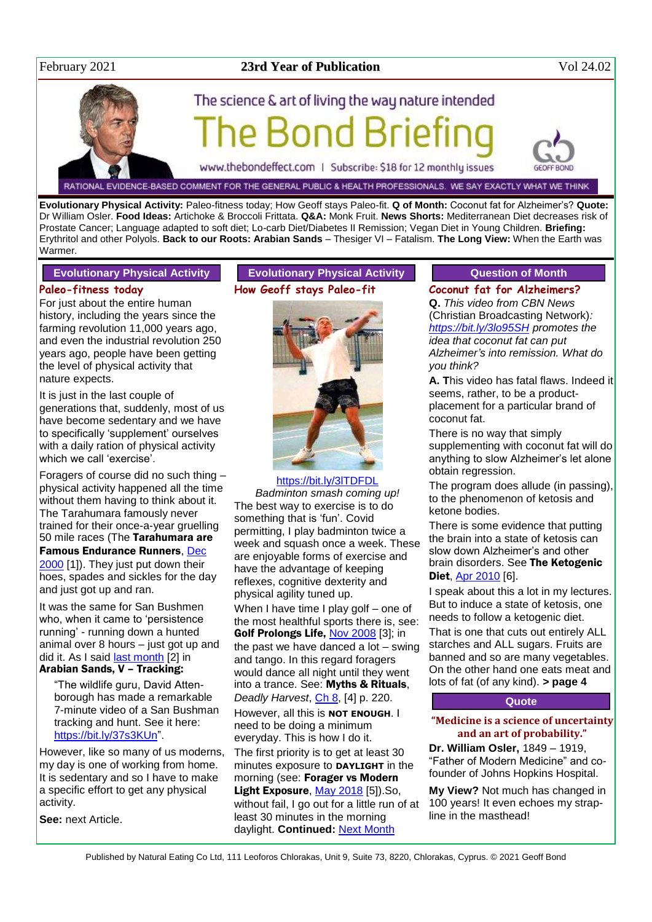

# February 2021 **23rd Year of Publication** Vol 24.02



RATIONAL EVIDENCE-BASED COMMENT FOR THE GENERAL PUBLIC & HEALTH PROFESSIONALS. WE SAY EXACTLY WHAT WE THINK

**Evolutionary Physical Activity:** Paleo-fitness today; How Geoff stays Paleo-fit. **Q of Month:** Coconut fat for Alzheimer's? **Quote:**  Dr William Osler. **Food Ideas:** Artichoke & Broccoli Frittata. **Q&A:** Monk Fruit. **News Shorts:** Mediterranean Diet decreases risk of Prostate Cancer; Language adapted to soft diet; Lo-carb Diet/Diabetes II Remission; Vegan Diet in Young Children. **Briefing:**  Erythritol and other Polyols. **Back to our Roots: Arabian Sands** – Thesiger VI – Fatalism. **The Long View:** When the Earth was Warmer.

#### **Evolutionary Physical Activity**

#### **Paleo-fitness today**

For just about the entire human history, including the years since the farming revolution 11,000 years ago, and even the industrial revolution 250 years ago, people have been getting the level of physical activity that nature expects.

It is just in the last couple of generations that, suddenly, most of us have become sedentary and we have to specifically 'supplement' ourselves with a daily ration of physical activity which we call 'exercise'.

Foragers of course did no such thing – physical activity happened all the time without them having to think about it. The Tarahumara famously never trained for their once-a-year gruelling 50 mile races (The Tarahumara are Famous Endurance Runners, [Dec](http://www.naturaleater.com/newsletter-archive/NEWS-2000/NEWS-2000-12.pdf)  [2000](http://www.naturaleater.com/newsletter-archive/NEWS-2000/NEWS-2000-12.pdf) [1]). They just put down their hoes, spades and sickles for the day and just got up and ran.

It was the same for San Bushmen who, when it came to 'persistence running' - running down a hunted animal over 8 hours – just got up and did it. As I said [last month](http://www.naturaleater.com/newsletter-archive/NEWS-2021/NEWS-2021-01.pdf) [2] in Arabian Sands, V – Tracking:

"The wildlife guru, David Attenborough has made a remarkable 7-minute video of a San Bushman tracking and hunt. See it here: [https://bit.ly/37s3KUn"](https://bit.ly/37s3KUn).

However, like so many of us moderns, my day is one of working from home. It is sedentary and so I have to make a specific effort to get any physical activity.

**See:** next Article.

# **Evolutionary Physical Activity How Geoff stays Paleo-fit**



#### <https://bit.ly/3lTDFDL>

*Badminton smash coming up!* The best way to exercise is to do something that is 'fun'. Covid permitting, I play badminton twice a week and squash once a week. These are enjoyable forms of exercise and have the advantage of keeping reflexes, cognitive dexterity and physical agility tuned up. When I have time I play golf – one of the most healthful sports there is, see: Golf Prolongs Life, [Nov 2008](http://www.naturaleater.com/newsletter-archive/NEWS-2008/NEWS-2008-11.pdf) [3]; in the past we have danced a lot – swing and tango. In this regard foragers would dance all night until they went into a trance. See: Myths & Rituals,

*Deadly Harvest*, [Ch 8,](http://www.naturaleater.com/Deadly-Harvest/Web-Edition/80-Deadly-Harvest-chapter8.htm) [4] p. 220. However, all this is **NOT ENOUGH**. I need to be doing a minimum everyday. This is how I do it. The first priority is to get at least 30 minutes exposure to **DAYLIGHT** in the morning (see: Forager vs Modern Light Exposure[, May 2018](http://www.naturaleater.com/newsletter-archive/NEWS-2018/NEWS-2018-05.pdf) [5]).So, without fail, I go out for a little run of at least 30 minutes in the morning daylight. **Continued:** [Next Month](http://www.naturaleater.com/newsletter-archive/NEWS-2021/NEWS-2021-03.pdf)

# **Question of Month**

## **Coconut fat for Alzheimers?**

**Q.** *This video from CBN News*  (Christian Broadcasting Network)*: <https://bit.ly/3lo95SH> promotes the idea that coconut fat can put Alzheimer's into remission. What do you think?*

**A. T**his video has fatal flaws. Indeed it seems, rather, to be a productplacement for a particular brand of coconut fat.

There is no way that simply supplementing with coconut fat will do anything to slow Alzheimer's let alone obtain regression.

The program does allude (in passing), to the phenomenon of ketosis and ketone bodies.

There is some evidence that putting the brain into a state of ketosis can slow down Alzheimer's and other brain disorders. See The Ketogenic Diet, Apr [2010](http://www.naturaleater.com/newsletter-archive/news-2010/news-2010-04.pdf) [6].

I speak about this a lot in my lectures. But to induce a state of ketosis, one needs to follow a ketogenic diet.

That is one that cuts out entirely ALL starches and ALL sugars. Fruits are banned and so are many vegetables. On the other hand one eats meat and lots of fat (of any kind). **> page 4**

## **Quote**

#### **"Medicine is a science of uncertainty and an art of probability."**

**Dr. William Osler,** 1849 – 1919, "Father of Modern Medicine" and cofounder of Johns Hopkins Hospital.

**My View?** Not much has changed in 100 years! It even echoes my strapline in the masthead!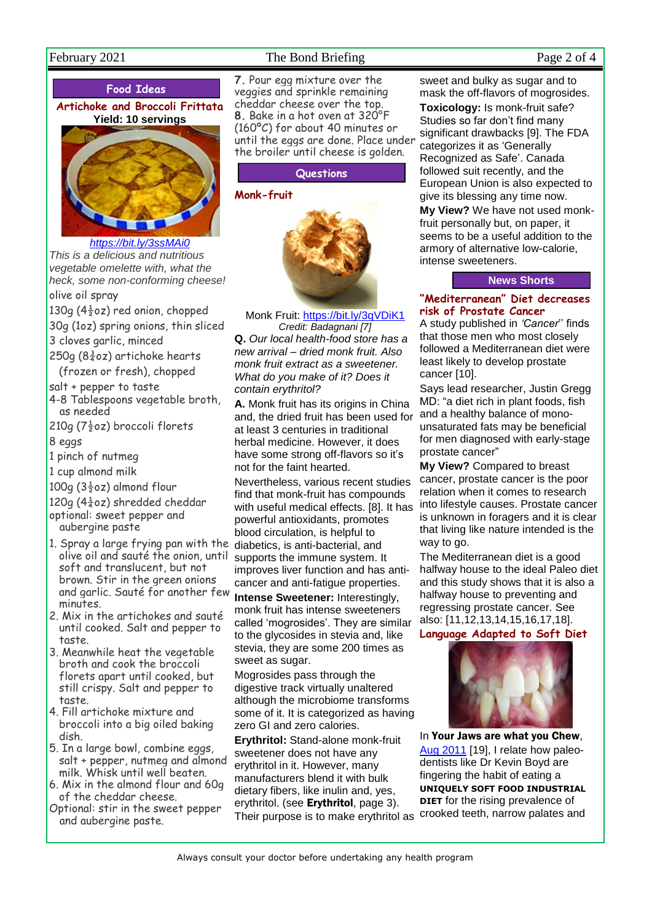# February 2021 **The Bond Briefing Page 2 of 4** Page 2 of 4

## **Food Ideas**

## **Artichoke and Broccoli Frittata Yield: 10 servings**



*<https://bit.ly/3ssMAi0>*

*This is a delicious and nutritious vegetable omelette with, what the heck, some non-conforming cheese!* olive oil spray

130g (4 $\frac{1}{2}$ oz) red onion, chopped

30g (1oz) spring onions, thin sliced

- 3 cloves garlic, minced
- 250g ( $8\frac{3}{4}$ oz) artichoke hearts (frozen or fresh), chopped

salt + pepper to taste

- 4-8 Tablespoons vegetable broth, as needed
- 210g ( $7\frac{1}{2}$ oz) broccoli florets
- 8 eggs
- 1 pinch of nutmeg
- 1 cup almond milk

100g ( $3\frac{1}{2}$ oz) almond flour

120g (4 $\frac{1}{4}$ oz) shredded cheddar optional: sweet pepper and aubergine paste

- 1. Spray a large frying pan with the olive oil and sauté the onion, until soft and translucent, but not brown. Stir in the green onions and garlic. Sauté for another few minutes.
- 2. Mix in the artichokes and sauté until cooked. Salt and pepper to taste.
- 3. Meanwhile heat the vegetable broth and cook the broccoli florets apart until cooked, but still crispy. Salt and pepper to taste.
- 4. Fill artichoke mixture and broccoli into a big oiled baking dish.
- 5. In a large bowl, combine eggs, salt + pepper, nutmeg and almond milk. Whisk until well beaten.
- 6. Mix in the almond flour and 60g of the cheddar cheese.
- Optional: stir in the sweet pepper and aubergine paste.

**7.** Pour egg mixture over the veggies and sprinkle remaining cheddar cheese over the top. **8.** Bake in a hot oven at 320°F (160ºC) for about 40 minutes or until the eggs are done. Place under the broiler until cheese is golden.

#### **Questions**

#### **Monk-fruit**



Monk Fruit:<https://bit.ly/3qVDiK1> *Credit: Badagnani [7]*

**Q.** *Our local health-food store has a new arrival – dried monk fruit. Also monk fruit extract as a sweetener. What do you make of it? Does it contain erythritol?*

**A.** Monk fruit has its origins in China and, the dried fruit has been used for at least 3 centuries in traditional herbal medicine. However, it does have some strong off-flavors so it's not for the faint hearted.

Nevertheless, various recent studies find that monk-fruit has compounds with useful medical effects. [8]. It has powerful antioxidants, promotes blood circulation, is helpful to diabetics, is anti-bacterial, and supports the immune system. It improves liver function and has anticancer and anti-fatigue properties. **Intense Sweetener:** Interestingly,

monk fruit has intense sweeteners called 'mogrosides'. They are similar to the glycosides in stevia and, like stevia, they are some 200 times as sweet as sugar.

Mogrosides pass through the digestive track virtually unaltered although the microbiome transforms some of it. It is categorized as having zero GI and zero calories.

**Erythritol:** Stand-alone monk-fruit sweetener does not have any erythritol in it. However, many manufacturers blend it with bulk dietary fibers, like inulin and, yes, erythritol. (see Erythritol, page 3). Their purpose is to make erythritol as

sweet and bulky as sugar and to mask the off-flavors of mogrosides.

**Toxicology:** Is monk-fruit safe? Studies so far don't find many significant drawbacks [9]. The FDA categorizes it as 'Generally Recognized as Safe'. Canada followed suit recently, and the European Union is also expected to give its blessing any time now.

**My View?** We have not used monkfruit personally but, on paper, it seems to be a useful addition to the armory of alternative low-calorie, intense sweeteners.

#### **News Shorts**

#### **"Mediterranean" Diet decreases risk of Prostate Cancer**

A study published in *'Cancer*'' finds that those men who most closely followed a Mediterranean diet were least likely to develop prostate cancer [10].

Says lead researcher, Justin Gregg MD: "a diet rich in plant foods, fish and a healthy balance of monounsaturated fats may be beneficial for men diagnosed with early-stage prostate cancer"

**My View?** Compared to breast cancer, prostate cancer is the poor relation when it comes to research into lifestyle causes. Prostate cancer is unknown in foragers and it is clear that living like nature intended is the way to go.

The Mediterranean diet is a good halfway house to the ideal Paleo diet and this study shows that it is also a halfway house to preventing and regressing prostate cancer. See also: [11,12,13,14,15,16,17,18].

**Language Adapted to Soft Diet**



In Your Jaws are what you Chew, [Aug 2011](http://www.naturaleater.com/newsletter-archive/NEWS-2011/NEWS-2011-08.pdf) [19], I relate how paleodentists like Dr Kevin Boyd are fingering the habit of eating a **UNIQUELY SOFT FOOD INDUSTRIAL DIET** for the rising prevalence of crooked teeth, narrow palates and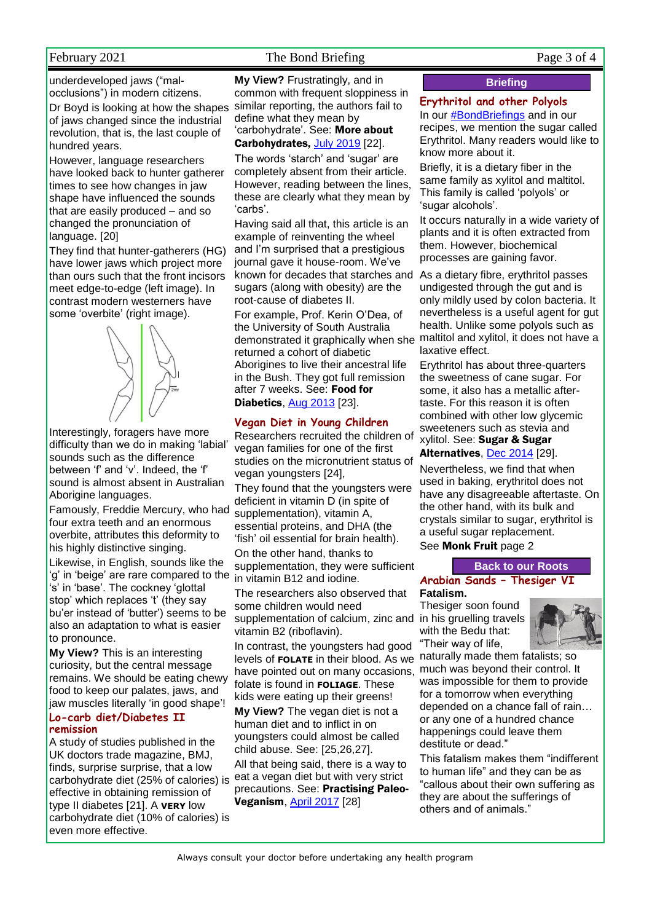## February 2021 **The Bond Briefing** Page 3 of 4

underdeveloped jaws ("malocclusions") in modern citizens.

Dr Boyd is looking at how the shapes of jaws changed since the industrial revolution, that is, the last couple of hundred years.

However, language researchers have looked back to hunter gatherer times to see how changes in jaw shape have influenced the sounds that are easily produced – and so changed the pronunciation of language. [20]

They find that hunter-gatherers (HG) have lower jaws which project more than ours such that the front incisors meet edge-to-edge (left image). In contrast modern westerners have some 'overbite' (right image).



Interestingly, foragers have more difficulty than we do in making 'labial' sounds such as the difference between 'f' and 'v'. Indeed, the 'f' sound is almost absent in Australian Aborigine languages.

Famously, Freddie Mercury, who had four extra teeth and an enormous overbite, attributes this deformity to his highly distinctive singing.

Likewise, in English, sounds like the 'g' in 'beige' are rare compared to the 's' in 'base'. The cockney 'glottal stop' which replaces 't' (they say bu'er instead of 'butter') seems to be also an adaptation to what is easier to pronounce.

**My View?** This is an interesting curiosity, but the central message remains. We should be eating chewy food to keep our palates, jaws, and jaw muscles literally 'in good shape'!

#### **Lo-carb diet/Diabetes II remission**

A study of studies published in the UK doctors trade magazine, BMJ, finds, surprise surprise, that a low carbohydrate diet (25% of calories) is effective in obtaining remission of type II diabetes [21]. A **VERY** low carbohydrate diet (10% of calories) is even more effective.

**My View?** Frustratingly, and in common with frequent sloppiness in similar reporting, the authors fail to define what they mean by 'carbohydrate'. See: More about Carbohydrates, [July 2019](http://www.naturaleater.com/NEWSLETTER-ARCHIVE/NEWS-2019/news-2019-07.pdf) [22].

The words 'starch' and 'sugar' are completely absent from their article. However, reading between the lines, these are clearly what they mean by 'carbs'.

Having said all that, this article is an example of reinventing the wheel and I'm surprised that a prestigious journal gave it house-room. We've known for decades that starches and As a dietary fibre, erythritol passes sugars (along with obesity) are the root-cause of diabetes II.

For example, Prof. Kerin O'Dea, of the University of South Australia returned a cohort of diabetic Aborigines to live their ancestral life in the Bush. They got full remission after 7 weeks. See: Food for Diabetics, [Aug 2013](http://www.naturaleater.com/newsletter-archive/NEWS-2013/NEWS-2013-08.pdf) [23].

#### **Vegan Diet in Young Children**

Researchers recruited the children of vegan families for one of the first studies on the micronutrient status of vegan youngsters [24],

They found that the youngsters were deficient in vitamin D (in spite of supplementation), vitamin A, essential proteins, and DHA (the 'fish' oil essential for brain health).

On the other hand, thanks to supplementation, they were sufficient in vitamin B12 and iodine.

The researchers also observed that some children would need supplementation of calcium, zinc and in his gruelling travels vitamin B2 (riboflavin).

In contrast, the youngsters had good levels of **FOLATE** in their blood. As we naturally made them fatalists; so have pointed out on many occasions, folate is found in **FOLIAGE**. These kids were eating up their greens!

**My View?** The vegan diet is not a human diet and to inflict in on youngsters could almost be called child abuse. See: [25,26,27].

All that being said, there is a way to eat a vegan diet but with very strict precautions. See: Practising Paleo-Veganism, [April 2017](http://www.naturaleater.com/NEWSLETTER-ARCHIVE/NEWS-2017/NEWS-2017-04.pdf) [28]

## **Briefing**

## **Erythritol and other Polyols**

In our #BondBriefings and in our recipes, we mention the sugar called Erythritol. Many readers would like to know more about it.

Briefly, it is a dietary fiber in the same family as xylitol and maltitol. This family is called 'polyols' or 'sugar alcohols'.

It occurs naturally in a wide variety of plants and it is often extracted from them. However, biochemical processes are gaining favor.

demonstrated it graphically when she maltitol and xylitol, it does not have a undigested through the gut and is only mildly used by colon bacteria. It nevertheless is a useful agent for gut health. Unlike some polyols such as laxative effect.

> Erythritol has about three-quarters the sweetness of cane sugar. For some, it also has a metallic aftertaste. For this reason it is often combined with other low glycemic sweeteners such as stevia and xylitol. See: Sugar & Sugar Alternatives, [Dec 2014](http://www.naturaleater.com/newsletter-archive/NEWS-2014/NEWS-2014-12.pdf) [29].

Nevertheless, we find that when used in baking, erythritol does not have any disagreeable aftertaste. On the other hand, with its bulk and crystals similar to sugar, erythritol is a useful sugar replacement. See Monk Fruit page 2

#### **Back to our Roots**

**Arabian Sands – Thesiger VI Fatalism.** 

Thesiger soon found with the Bedu that: "Their way of life,



much was beyond their control. It was impossible for them to provide for a tomorrow when everything depended on a chance fall of rain… or any one of a hundred chance happenings could leave them destitute or dead."

This fatalism makes them "indifferent to human life" and they can be as "callous about their own suffering as they are about the sufferings of others and of animals."